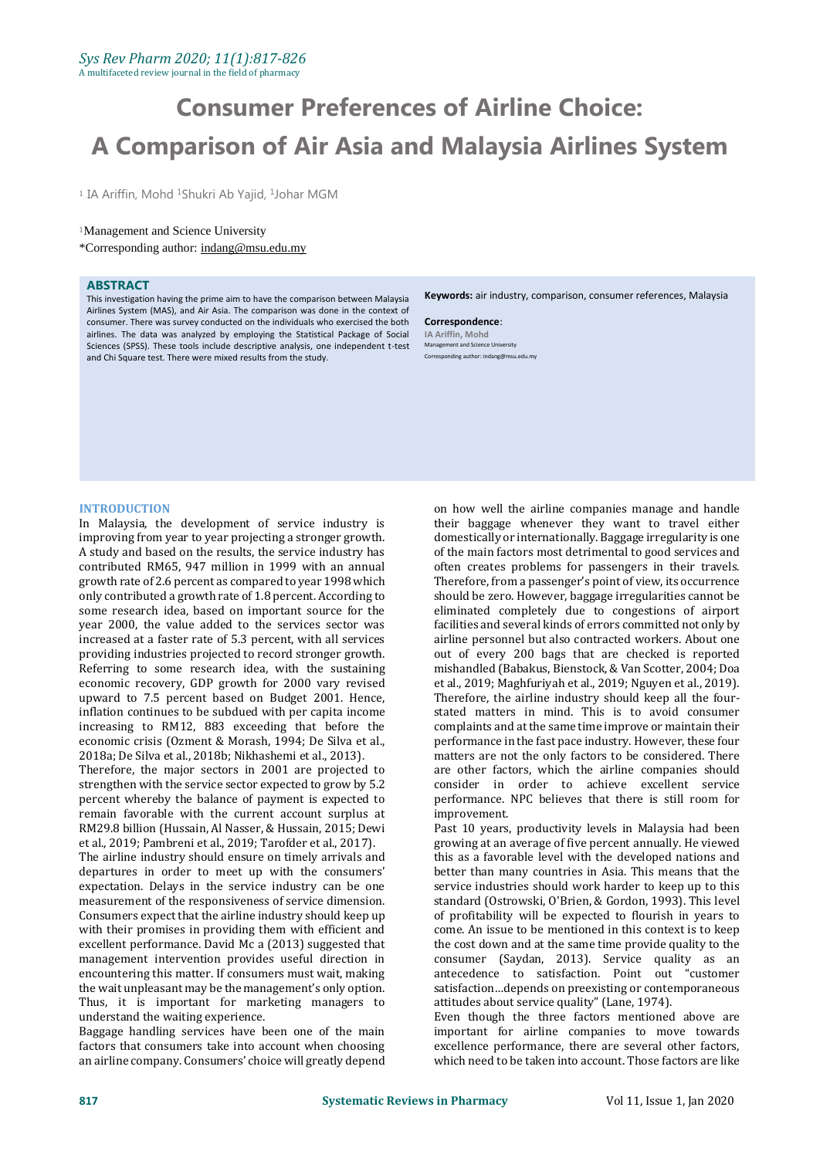# **Consumer Preferences of Airline Choice: A Comparison of Air Asia and Malaysia Airlines System**

<sup>1</sup> IA Ariffin, Mohd <sup>1</sup>Shukri Ab Yajid, <sup>1</sup>Johar MGM

### <sup>1</sup>Management and Science University

\*Corresponding author: indang@msu.edu.my

### **ABSTRACT**

This investigation having the prime aim to have the comparison between Malaysia Airlines System (MAS), and Air Asia. The comparison was done in the context of consumer. There was survey conducted on the individuals who exercised the both airlines. The data was analyzed by employing the Statistical Package of Social Sciences (SPSS). These tools include descriptive analysis, one independent t-test and Chi Square test. There were mixed results from the study.

**Keywords:** air industry, comparison, consumer references, Malaysia

**Correspondence**: **IA Ariffin, Mohd** Management and Science University Corresponding author: indang@msu.edu.my

#### **INTRODUCTION**

In Malaysia, the development of service industry is improving from year to year projecting a stronger growth. A study and based on the results, the service industry has contributed RM65, 947 million in 1999 with an annual growth rate of 2.6 percent as compared to year 1998 which only contributed a growth rate of 1.8 percent. According to some research idea, based on important source for the year 2000, the value added to the services sector was increased at a faster rate of 5.3 percent, with all services providing industries projected to record stronger growth. Referring to some research idea, with the sustaining economic recovery, GDP growth for 2000 vary revised upward to 7.5 percent based on Budget 2001. Hence, inflation continues to be subdued with per capita income increasing to RM12, 883 exceeding that before the economic crisis (Ozment & Morash, 1994; De Silva et al., 2018a; De Silva et al., 2018b; Nikhashemi et al., 2013).

Therefore, the major sectors in 2001 are projected to strengthen with the service sector expected to grow by 5.2 percent whereby the balance of payment is expected to remain favorable with the current account surplus at RM29.8 billion (Hussain, Al Nasser, & Hussain, 2015; Dewi et al., 2019; Pambreni et al., 2019; Tarofder et al., 2017).

The airline industry should ensure on timely arrivals and departures in order to meet up with the consumers' expectation. Delays in the service industry can be one measurement of the responsiveness of service dimension. Consumers expect that the airline industry should keep up with their promises in providing them with efficient and excellent performance. David Mc a (2013) suggested that management intervention provides useful direction in encountering this matter. If consumers must wait, making the wait unpleasant may be the management's only option. Thus, it is important for marketing managers to understand the waiting experience.

Baggage handling services have been one of the main factors that consumers take into account when choosing an airline company. Consumers' choice will greatly depend

on how well the airline companies manage and handle their baggage whenever they want to travel either domestically or internationally. Baggage irregularity is one of the main factors most detrimental to good services and often creates problems for passengers in their travels. Therefore, from a passenger's point of view, its occurrence should be zero. However, baggage irregularities cannot be eliminated completely due to congestions of airport facilities and several kinds of errors committed not only by airline personnel but also contracted workers. About one out of every 200 bags that are checked is reported mishandled (Babakus, Bienstock, & Van Scotter, 2004; Doa et al., 2019; Maghfuriyah et al., 2019; Nguyen et al., 2019). Therefore, the airline industry should keep all the fourstated matters in mind. This is to avoid consumer complaints and at the same time improve or maintain their performance in the fast pace industry. However, these four matters are not the only factors to be considered. There are other factors, which the airline companies should consider in order to achieve excellent service performance. NPC believes that there is still room for improvement.

Past 10 years, productivity levels in Malaysia had been growing at an average of five percent annually. He viewed this as a favorable level with the developed nations and better than many countries in Asia. This means that the service industries should work harder to keep up to this standard (Ostrowski, O'Brien, & Gordon, 1993). This level of profitability will be expected to flourish in years to come. An issue to be mentioned in this context is to keep the cost down and at the same time provide quality to the consumer (Saydan, 2013). Service quality as an antecedence to satisfaction. Point out "customer satisfaction…depends on preexisting or contemporaneous attitudes about service quality" (Lane, 1974).

Even though the three factors mentioned above are important for airline companies to move towards excellence performance, there are several other factors, which need to be taken into account. Those factors are like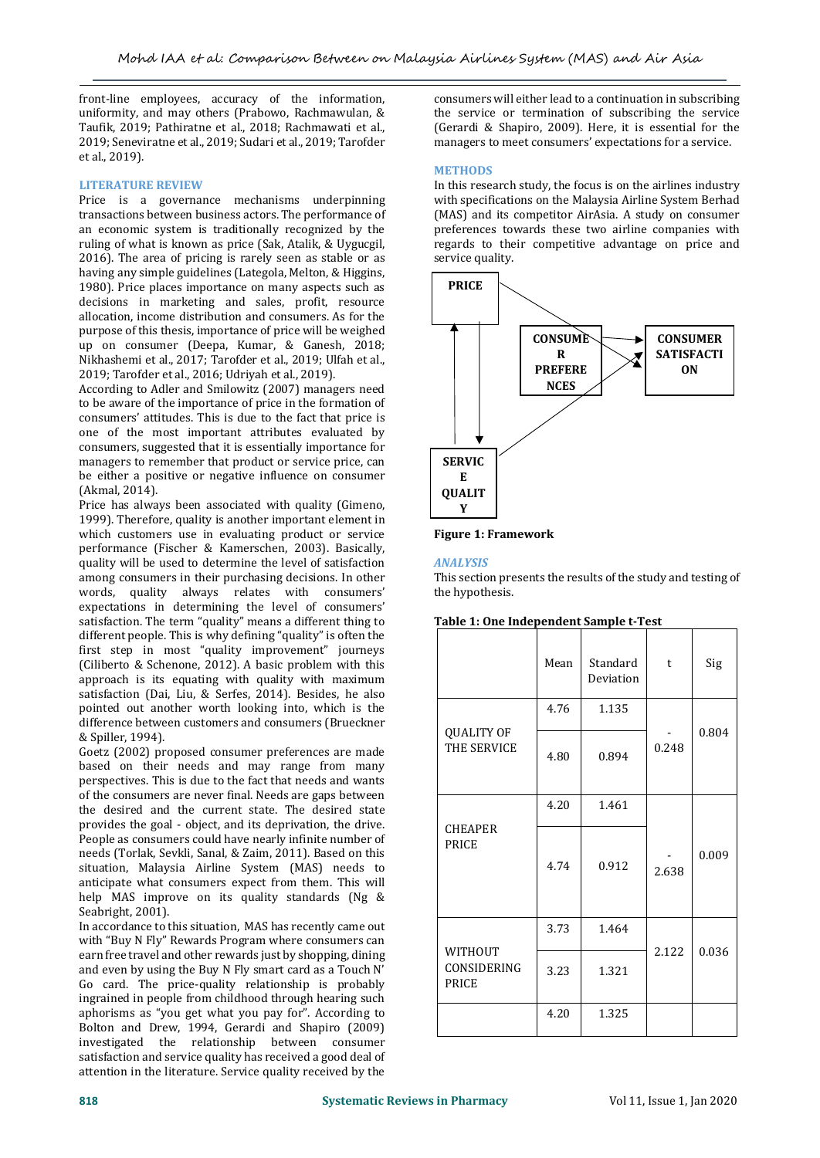front-line employees, accuracy of the information, uniformity, and may others (Prabowo, Rachmawulan, & Taufik, 2019; Pathiratne et al., 2018; Rachmawati et al., 2019; Seneviratne et al., 2019; Sudari et al., 2019; Tarofder et al., 2019).

### **LITERATURE REVIEW**

Price is a governance mechanisms underpinning transactions between business actors. The performance of an economic system is traditionally recognized by the ruling of what is known as price (Sak, Atalik, & Uygucgil, 2016). The area of pricing is rarely seen as stable or as having any simple guidelines (Lategola, Melton, & Higgins, 1980). Price places importance on many aspects such as decisions in marketing and sales, profit, resource allocation, income distribution and consumers. As for the purpose of this thesis, importance of price will be weighed up on consumer (Deepa, Kumar, & Ganesh, 2018; Nikhashemi et al., 2017; Tarofder et al., 2019; Ulfah et al., 2019; Tarofder et al., 2016; Udriyah et al., 2019).

According to Adler and Smilowitz (2007) managers need to be aware of the importance of price in the formation of consumers' attitudes. This is due to the fact that price is one of the most important attributes evaluated by consumers, suggested that it is essentially importance for managers to remember that product or service price, can be either a positive or negative influence on consumer (Akmal, 2014).

Price has always been associated with quality (Gimeno, 1999). Therefore, quality is another important element in which customers use in evaluating product or service performance (Fischer & Kamerschen, 2003). Basically, quality will be used to determine the level of satisfaction among consumers in their purchasing decisions. In other words, quality always relates with consumers' expectations in determining the level of consumers' satisfaction. The term "quality" means a different thing to different people. This is why defining "quality" is often the first step in most "quality improvement" journeys (Ciliberto & Schenone, 2012). A basic problem with this approach is its equating with quality with maximum satisfaction (Dai, Liu, & Serfes, 2014). Besides, he also pointed out another worth looking into, which is the difference between customers and consumers (Brueckner & Spiller, 1994).

Goetz (2002) proposed consumer preferences are made based on their needs and may range from many perspectives. This is due to the fact that needs and wants of the consumers are never final. Needs are gaps between the desired and the current state. The desired state provides the goal - object, and its deprivation, the drive. People as consumers could have nearly infinite number of needs (Torlak, Sevkli, Sanal, & Zaim, 2011). Based on this situation, Malaysia Airline System (MAS) needs to anticipate what consumers expect from them. This will help MAS improve on its quality standards (Ng & Seabright, 2001).

In accordance to this situation, MAS has recently came out with "Buy N Fly" Rewards Program where consumers can earn free travel and other rewards just by shopping, dining and even by using the Buy N Fly smart card as a Touch N' Go card. The price-quality relationship is probably ingrained in people from childhood through hearing such aphorisms as "you get what you pay for". According to Bolton and Drew, 1994, Gerardi and Shapiro (2009) investigated the relationship between consumer satisfaction and service quality has received a good deal of attention in the literature. Service quality received by the

consumers will either lead to a continuation in subscribing the service or termination of subscribing the service (Gerardi & Shapiro, 2009). Here, it is essential for the managers to meet consumers' expectations for a service.

#### **METHODS**

In this research study, the focus is on the airlines industry with specifications on the Malaysia Airline System Berhad (MAS) and its competitor AirAsia. A study on consumer preferences towards these two airline companies with regards to their competitive advantage on price and service quality.



**Figure 1: Framework**

#### *ANALYSIS*

This section presents the results of the study and testing of the hypothesis.

### **Table 1: One Independent Sample t-Test**

|                                  | Mean | Standard<br>Deviation | t     | Sig   |
|----------------------------------|------|-----------------------|-------|-------|
|                                  | 4.76 | 1.135                 |       |       |
| <b>QUALITY OF</b><br>THE SERVICE | 4.80 | 0.894                 | 0.248 | 0.804 |
|                                  | 4.20 | 1.461                 |       |       |
| <b>CHEAPER</b><br>PRICE          | 4.74 | 0.912                 | 2.638 | 0.009 |
|                                  | 3.73 | 1.464                 |       |       |
| WITHOUT<br>CONSIDERING<br>PRICE  | 3.23 | 1.321                 | 2.122 | 0.036 |
|                                  | 4.20 | 1.325                 |       |       |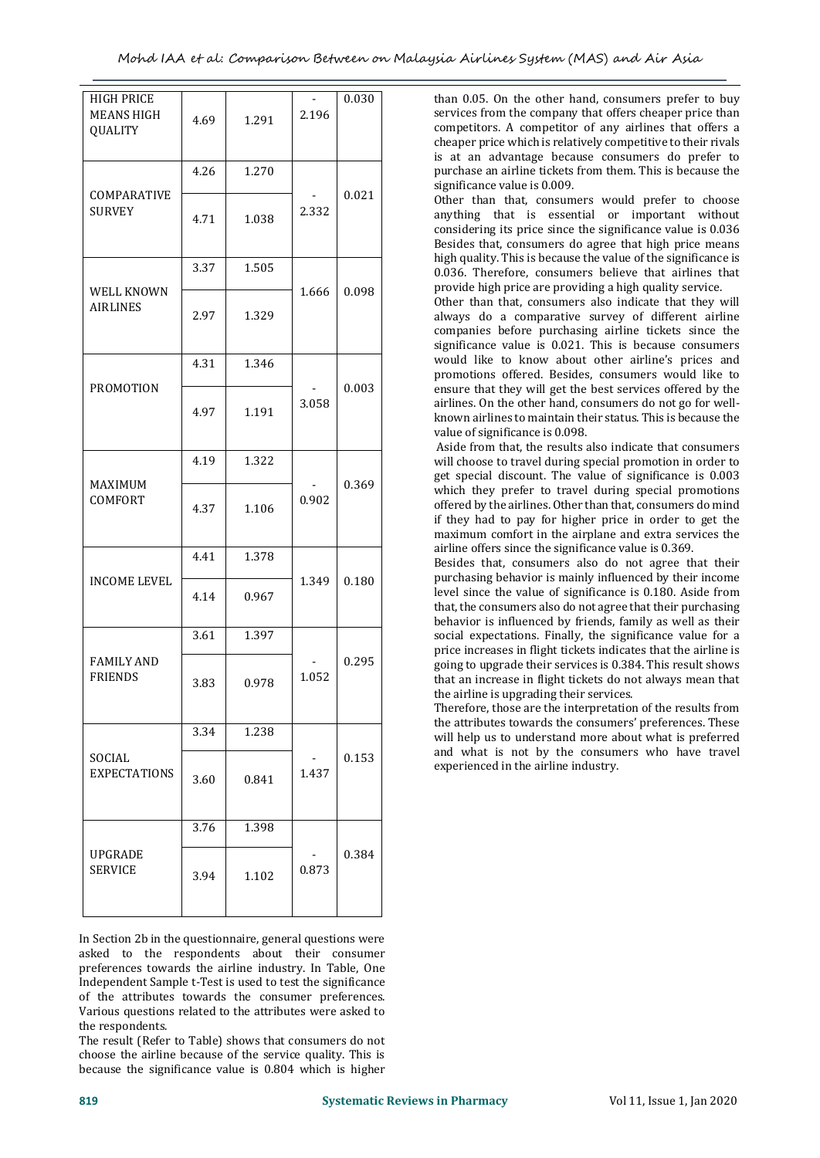| <b>HIGH PRICE</b><br><b>MEANS HIGH</b><br><b>QUALITY</b> | 4.69 | 1.291 | 2.196 | 0.030 |
|----------------------------------------------------------|------|-------|-------|-------|
|                                                          | 4.26 | 1.270 |       |       |
| COMPARATIVE<br><b>SURVEY</b>                             | 4.71 | 1.038 | 2.332 | 0.021 |
|                                                          | 3.37 | 1.505 |       |       |
| WELL KNOWN<br><b>AIRLINES</b>                            | 2.97 | 1.329 | 1.666 | 0.098 |
|                                                          | 4.31 | 1.346 |       |       |
| <b>PROMOTION</b>                                         | 4.97 | 1.191 | 3.058 | 0.003 |
|                                                          | 4.19 | 1.322 |       |       |
| MAXIMUM<br>COMFORT                                       | 4.37 | 1.106 | 0.902 | 0.369 |
|                                                          | 4.41 | 1.378 |       |       |
| <b>INCOME LEVEL</b>                                      | 4.14 | 0.967 | 1.349 | 0.180 |
|                                                          | 3.61 | 1.397 |       |       |
| <b>FAMILY AND</b><br><b>FRIENDS</b>                      | 3.83 | 0.978 | 1.052 | 0.295 |
|                                                          | 3.34 | 1.238 |       |       |
| SOCIAL<br><b>EXPECTATIONS</b>                            | 3.60 | 0.841 | 1.437 | 0.153 |
|                                                          | 3.76 | 1.398 |       |       |
| <b>UPGRADE</b><br><b>SERVICE</b>                         | 3.94 | 1.102 | 0.873 | 0.384 |

In Section 2b in the questionnaire, general questions were asked to the respondents about their consumer preferences towards the airline industry. In Table, One Independent Sample t-Test is used to test the significance of the attributes towards the consumer preferences. Various questions related to the attributes were asked to the respondents.

The result (Refer to Table) shows that consumers do not choose the airline because of the service quality. This is because the significance value is 0.804 which is higher than 0.05. On the other hand, consumers prefer to buy services from the company that offers cheaper price than competitors. A competitor of any airlines that offers a cheaper price which is relatively competitive to their rivals is at an advantage because consumers do prefer to purchase an airline tickets from them. This is because the significance value is 0.009.

Other than that, consumers would prefer to choose anything that is essential or important without considering its price since the significance value is 0.036 Besides that, consumers do agree that high price means high quality. This is because the value of the significance is 0.036. Therefore, consumers believe that airlines that provide high price are providing a high quality service.

Other than that, consumers also indicate that they will always do a comparative survey of different airline companies before purchasing airline tickets since the significance value is 0.021. This is because consumers would like to know about other airline's prices and promotions offered. Besides, consumers would like to ensure that they will get the best services offered by the airlines. On the other hand, consumers do not go for wellknown airlines to maintain their status. This is because the value of significance is 0.098.

Aside from that, the results also indicate that consumers will choose to travel during special promotion in order to get special discount. The value of significance is 0.003 which they prefer to travel during special promotions offered by the airlines. Other than that, consumers do mind if they had to pay for higher price in order to get the maximum comfort in the airplane and extra services the airline offers since the significance value is 0.369.

Besides that, consumers also do not agree that their purchasing behavior is mainly influenced by their income level since the value of significance is 0.180. Aside from that, the consumers also do not agree that their purchasing behavior is influenced by friends, family as well as their social expectations. Finally, the significance value for a price increases in flight tickets indicates that the airline is going to upgrade their services is 0.384. This result shows that an increase in flight tickets do not always mean that the airline is upgrading their services.

Therefore, those are the interpretation of the results from the attributes towards the consumers' preferences. These will help us to understand more about what is preferred and what is not by the consumers who have travel experienced in the airline industry.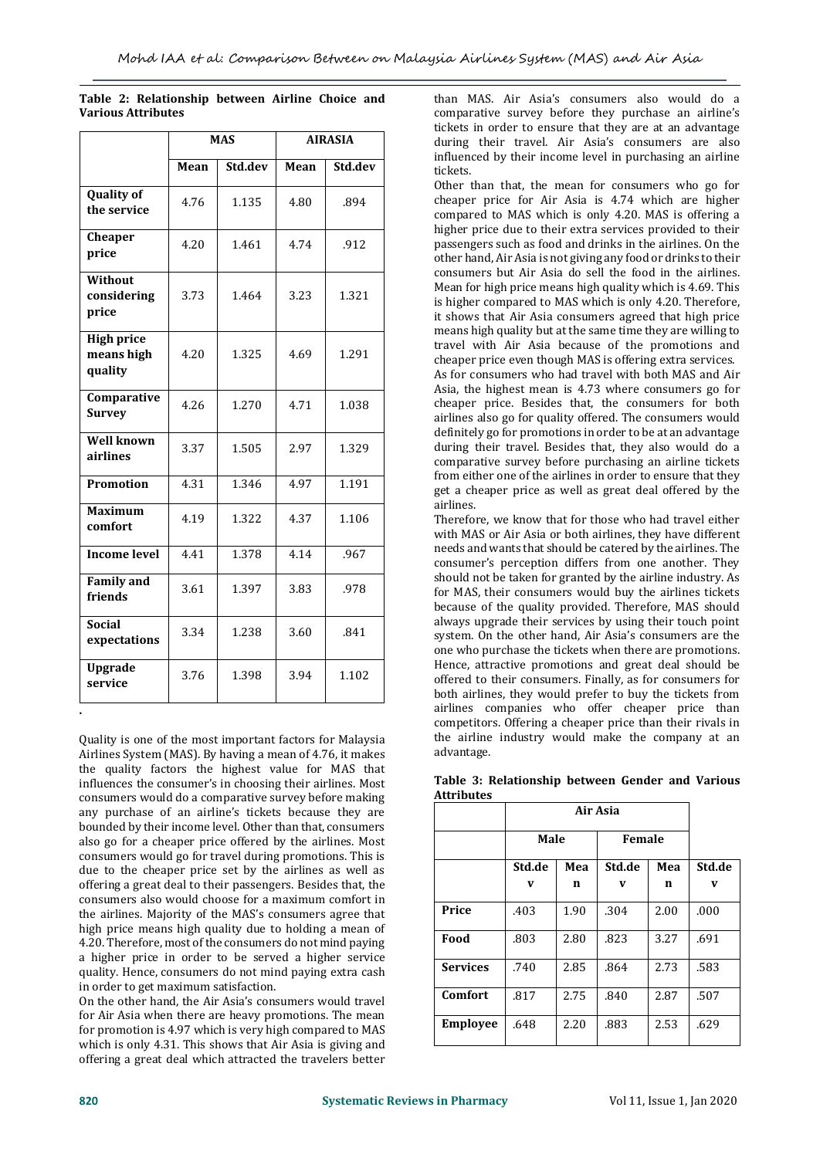|                                            |      | <b>MAS</b> |      | <b>AIRASIA</b> |
|--------------------------------------------|------|------------|------|----------------|
|                                            | Mean | Std.dev    | Mean | Std.dev        |
| <b>Quality of</b><br>the service           | 4.76 | 1.135      | 4.80 | .894           |
| Cheaper<br>price                           | 4.20 | 1.461      | 4.74 | .912           |
| Without<br>considering<br>price            | 3.73 | 1.464      | 3.23 | 1.321          |
| <b>High price</b><br>means high<br>quality | 4.20 | 1.325      | 4.69 | 1.291          |
| Comparative<br><b>Survey</b>               | 4.26 | 1.270      | 4.71 | 1.038          |
| <b>Well known</b><br>airlines              | 3.37 | 1.505      | 2.97 | 1.329          |
| <b>Promotion</b>                           | 4.31 | 1.346      | 4.97 | 1.191          |
| <b>Maximum</b><br>comfort                  | 4.19 | 1.322      | 4.37 | 1.106          |
| <b>Income level</b>                        | 4.41 | 1.378      | 4.14 | .967           |
| <b>Family and</b><br>friends               | 3.61 | 1.397      | 3.83 | .978           |
| <b>Social</b><br>expectations              | 3.34 | 1.238      | 3.60 | .841           |
| Upgrade<br>service                         | 3.76 | 1.398      | 3.94 | 1.102          |

|  | Table 2: Relationship between Airline Choice and |  |  |
|--|--------------------------------------------------|--|--|
|  | <b>Various Attributes</b>                        |  |  |

Quality is one of the most important factors for Malaysia Airlines System (MAS). By having a mean of 4.76, it makes the quality factors the highest value for MAS that influences the consumer's in choosing their airlines. Most consumers would do a comparative survey before making any purchase of an airline's tickets because they are bounded by their income level. Other than that, consumers also go for a cheaper price offered by the airlines. Most consumers would go for travel during promotions. This is due to the cheaper price set by the airlines as well as offering a great deal to their passengers. Besides that, the consumers also would choose for a maximum comfort in the airlines. Majority of the MAS's consumers agree that high price means high quality due to holding a mean of 4.20. Therefore, most of the consumers do not mind paying a higher price in order to be served a higher service quality. Hence, consumers do not mind paying extra cash in order to get maximum satisfaction.

On the other hand, the Air Asia's consumers would travel for Air Asia when there are heavy promotions. The mean for promotion is 4.97 which is very high compared to MAS which is only 4.31. This shows that Air Asia is giving and offering a great deal which attracted the travelers better

than MAS. Air Asia's consumers also would do a comparative survey before they purchase an airline's tickets in order to ensure that they are at an advantage during their travel. Air Asia's consumers are also influenced by their income level in purchasing an airline tickets.

Other than that, the mean for consumers who go for cheaper price for Air Asia is 4.74 which are higher compared to MAS which is only 4.20. MAS is offering a higher price due to their extra services provided to their passengers such as food and drinks in the airlines. On the other hand, Air Asia is not giving any food or drinks to their consumers but Air Asia do sell the food in the airlines. Mean for high price means high quality which is 4.69. This is higher compared to MAS which is only 4.20. Therefore, it shows that Air Asia consumers agreed that high price means high quality but at the same time they are willing to travel with Air Asia because of the promotions and cheaper price even though MAS is offering extra services. As for consumers who had travel with both MAS and Air Asia, the highest mean is 4.73 where consumers go for cheaper price. Besides that, the consumers for both airlines also go for quality offered. The consumers would definitely go for promotions in order to be at an advantage during their travel. Besides that, they also would do a comparative survey before purchasing an airline tickets from either one of the airlines in order to ensure that they get a cheaper price as well as great deal offered by the airlines.

Therefore, we know that for those who had travel either with MAS or Air Asia or both airlines, they have different needs and wants that should be catered by the airlines. The consumer's perception differs from one another. They should not be taken for granted by the airline industry. As for MAS, their consumers would buy the airlines tickets because of the quality provided. Therefore, MAS should always upgrade their services by using their touch point system. On the other hand, Air Asia's consumers are the one who purchase the tickets when there are promotions. Hence, attractive promotions and great deal should be offered to their consumers. Finally, as for consumers for both airlines, they would prefer to buy the tickets from airlines companies who offer cheaper price than competitors. Offering a cheaper price than their rivals in the airline industry would make the company at an advantage.

|                   | Table 3: Relationship between Gender and Various |  |  |
|-------------------|--------------------------------------------------|--|--|
| <b>Attributes</b> |                                                  |  |  |

|                 |        | Air Asia |        |      |        |  |
|-----------------|--------|----------|--------|------|--------|--|
|                 | Male   |          | Female |      |        |  |
|                 | Std.de | Mea      | Std.de | Mea  | Std.de |  |
|                 | V      | n        | V      | n    | V      |  |
| Price           | .403   | 1.90     | .304   | 2.00 | .000   |  |
| Food            | .803   | 2.80     | .823   | 3.27 | .691   |  |
| <b>Services</b> | .740   | 2.85     | .864   | 2.73 | .583   |  |
| Comfort         | .817   | 2.75     | .840   | 2.87 | .507   |  |
| <b>Employee</b> | .648   | 2.20     | .883   | 2.53 | .629   |  |

**.**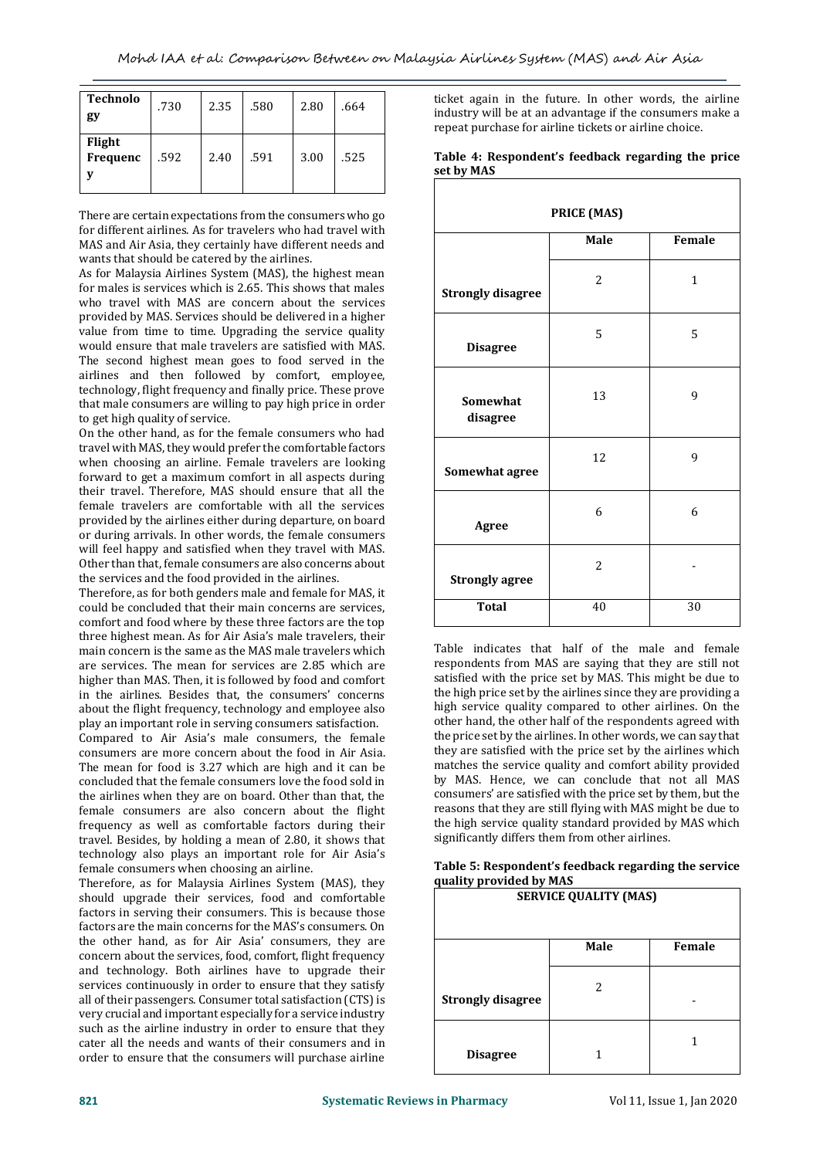| <b>Technolo</b><br>gy     | .730 | 2.35 | .580 | 2.80 | .664 |
|---------------------------|------|------|------|------|------|
| Flight<br><b>Frequenc</b> | .592 | 2.40 | .591 | 3.00 | .525 |

There are certain expectations from the consumers who go for different airlines. As for travelers who had travel with MAS and Air Asia, they certainly have different needs and wants that should be catered by the airlines.

As for Malaysia Airlines System (MAS), the highest mean for males is services which is 2.65. This shows that males who travel with MAS are concern about the services provided by MAS. Services should be delivered in a higher value from time to time. Upgrading the service quality would ensure that male travelers are satisfied with MAS. The second highest mean goes to food served in the airlines and then followed by comfort, employee, technology, flight frequency and finally price. These prove that male consumers are willing to pay high price in order to get high quality of service.

On the other hand, as for the female consumers who had travel with MAS, they would prefer the comfortable factors when choosing an airline. Female travelers are looking forward to get a maximum comfort in all aspects during their travel. Therefore, MAS should ensure that all the female travelers are comfortable with all the services provided by the airlines either during departure, on board or during arrivals. In other words, the female consumers will feel happy and satisfied when they travel with MAS. Other than that, female consumers are also concerns about the services and the food provided in the airlines.

Therefore, as for both genders male and female for MAS, it could be concluded that their main concerns are services, comfort and food where by these three factors are the top three highest mean. As for Air Asia's male travelers, their main concern is the same as the MAS male travelers which are services. The mean for services are 2.85 which are higher than MAS. Then, it is followed by food and comfort in the airlines. Besides that, the consumers' concerns about the flight frequency, technology and employee also play an important role in serving consumers satisfaction.

Compared to Air Asia's male consumers, the female consumers are more concern about the food in Air Asia. The mean for food is 3.27 which are high and it can be concluded that the female consumers love the food sold in the airlines when they are on board. Other than that, the female consumers are also concern about the flight frequency as well as comfortable factors during their travel. Besides, by holding a mean of 2.80, it shows that technology also plays an important role for Air Asia's female consumers when choosing an airline.

Therefore, as for Malaysia Airlines System (MAS), they should upgrade their services, food and comfortable factors in serving their consumers. This is because those factors are the main concerns for the MAS's consumers. On the other hand, as for Air Asia' consumers, they are concern about the services, food, comfort, flight frequency and technology. Both airlines have to upgrade their services continuously in order to ensure that they satisfy all of their passengers. Consumer total satisfaction (CTS) is very crucial and important especially for a service industry such as the airline industry in order to ensure that they cater all the needs and wants of their consumers and in order to ensure that the consumers will purchase airline

ticket again in the future. In other words, the airline industry will be at an advantage if the consumers make a repeat purchase for airline tickets or airline choice.

| Table 4: Respondent's feedback regarding the price |  |  |
|----------------------------------------------------|--|--|
| set by MAS                                         |  |  |
|                                                    |  |  |

| PRICE (MAS)              |                |              |  |  |
|--------------------------|----------------|--------------|--|--|
|                          | Male           | Female       |  |  |
| <b>Strongly disagree</b> | $\overline{2}$ | $\mathbf{1}$ |  |  |
| <b>Disagree</b>          | 5              | 5            |  |  |
| Somewhat<br>disagree     | 13             | 9            |  |  |
| Somewhat agree           | 12             | 9            |  |  |
| Agree                    | 6              | 6            |  |  |
| <b>Strongly agree</b>    | $\overline{2}$ |              |  |  |
| <b>Total</b>             | 40             | 30           |  |  |

Table indicates that half of the male and female respondents from MAS are saying that they are still not satisfied with the price set by MAS. This might be due to the high price set by the airlines since they are providing a high service quality compared to other airlines. On the other hand, the other half of the respondents agreed with the price set by the airlines. In other words, we can say that they are satisfied with the price set by the airlines which matches the service quality and comfort ability provided by MAS. Hence, we can conclude that not all MAS consumers' are satisfied with the price set by them, but the reasons that they are still flying with MAS might be due to the high service quality standard provided by MAS which significantly differs them from other airlines.

| Table 5: Respondent's feedback regarding the service |  |
|------------------------------------------------------|--|
| quality provided by MAS                              |  |

| <b>SERVICE QUALITY (MAS)</b> |      |        |  |
|------------------------------|------|--------|--|
|                              | Male | Female |  |
| <b>Strongly disagree</b>     | 2    |        |  |
| <b>Disagree</b>              |      |        |  |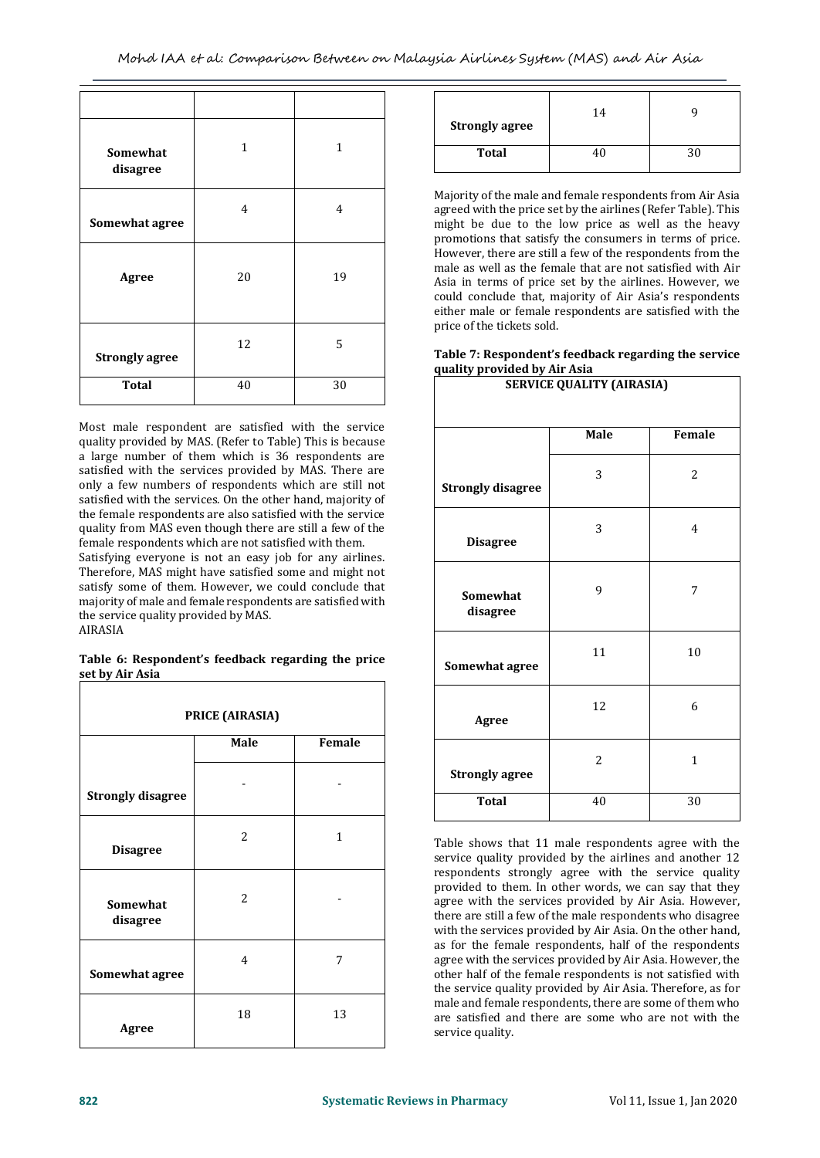| Somewhat<br>disagree  | $\mathbf{1}$   | $\mathbf{1}$   |
|-----------------------|----------------|----------------|
| Somewhat agree        | $\overline{4}$ | $\overline{4}$ |
| Agree                 | 20             | 19             |
| <b>Strongly agree</b> | 12             | 5              |
| <b>Total</b>          | 40             | 30             |

Most male respondent are satisfied with the service quality provided by MAS. (Refer to Table) This is because a large number of them which is 36 respondents are satisfied with the services provided by MAS. There are only a few numbers of respondents which are still not satisfied with the services. On the other hand, majority of the female respondents are also satisfied with the service quality from MAS even though there are still a few of the female respondents which are not satisfied with them.

Satisfying everyone is not an easy job for any airlines. Therefore, MAS might have satisfied some and might not satisfy some of them. However, we could conclude that majority of male and female respondents are satisfied with the service quality provided by MAS.

AIRASIA

#### **Table 6: Respondent's feedback regarding the price set by Air Asia**

| PRICE (AIRASIA)          |      |              |  |
|--------------------------|------|--------------|--|
|                          | Male | Female       |  |
| <b>Strongly disagree</b> |      |              |  |
| <b>Disagree</b>          | 2    | $\mathbf{1}$ |  |
| Somewhat<br>disagree     | 2    |              |  |
| Somewhat agree           | 4    | 7            |  |
| Agree                    | 18   | 13           |  |

| <b>Strongly agree</b> | 14 |  |
|-----------------------|----|--|
| <b>Total</b>          | 40 |  |

Majority of the male and female respondents from Air Asia agreed with the price set by the airlines (Refer Table). This might be due to the low price as well as the heavy promotions that satisfy the consumers in terms of price. However, there are still a few of the respondents from the male as well as the female that are not satisfied with Air Asia in terms of price set by the airlines. However, we could conclude that, majority of Air Asia's respondents either male or female respondents are satisfied with the price of the tickets sold.

#### **Table 7: Respondent's feedback regarding the service quality provided by Air Asia SERVICE QUALITY (AIRASIA)**

| -                        |      |              |  |
|--------------------------|------|--------------|--|
|                          | Male | Female       |  |
| <b>Strongly disagree</b> | 3    | 2            |  |
| <b>Disagree</b>          | 3    | 4            |  |
| Somewhat<br>disagree     | 9    | 7            |  |
| Somewhat agree           | 11   | 10           |  |
| Agree                    | 12   | 6            |  |
| <b>Strongly agree</b>    | 2    | $\mathbf{1}$ |  |
| <b>Total</b>             | 40   | 30           |  |

Table shows that 11 male respondents agree with the service quality provided by the airlines and another 12 respondents strongly agree with the service quality provided to them. In other words, we can say that they agree with the services provided by Air Asia. However, there are still a few of the male respondents who disagree with the services provided by Air Asia. On the other hand, as for the female respondents, half of the respondents agree with the services provided by Air Asia. However, the other half of the female respondents is not satisfied with the service quality provided by Air Asia. Therefore, as for male and female respondents, there are some of them who are satisfied and there are some who are not with the service quality.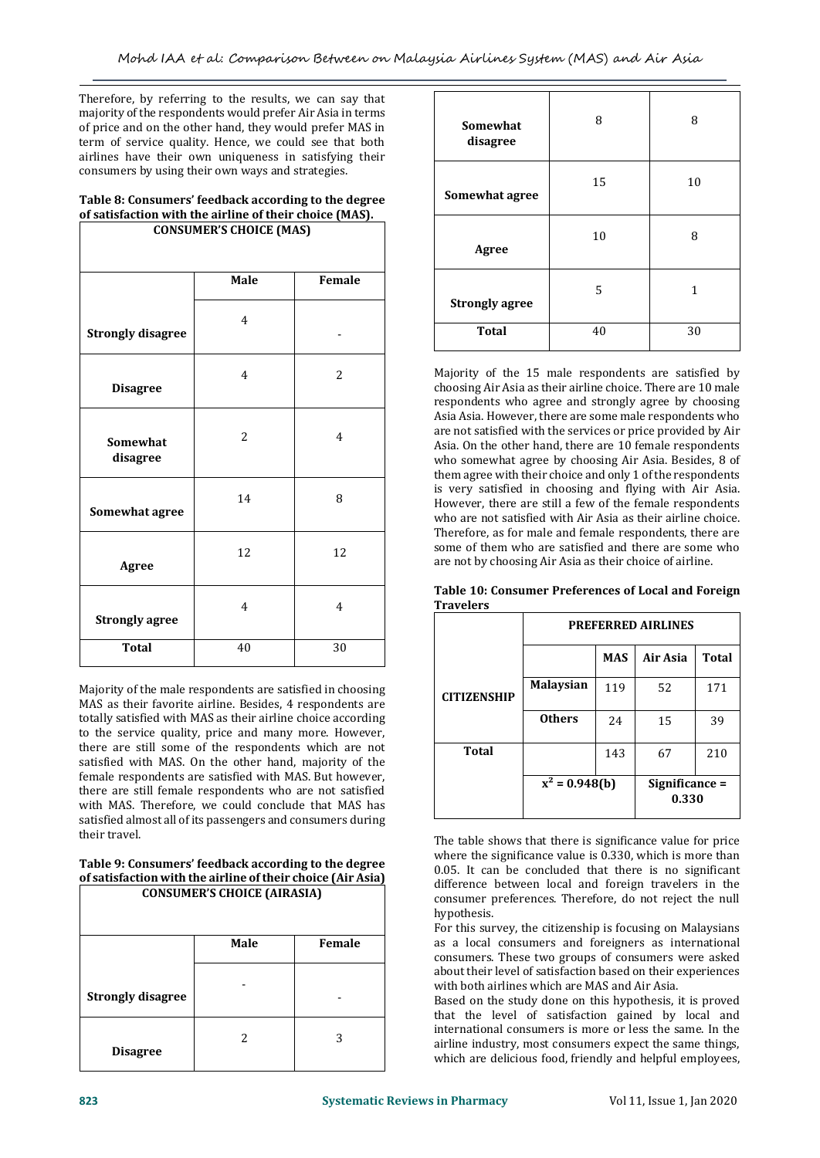Therefore, by referring to the results, we can say that majority of the respondents would prefer Air Asia in terms of price and on the other hand, they would prefer MAS in term of service quality. Hence, we could see that both airlines have their own uniqueness in satisfying their consumers by using their own ways and strategies.

# **Table 8: Consumers' feedback according to the degree of satisfaction with the airline of their choice (MAS).**

| <b>CONSUMER'S CHOICE (MAS)</b> |                |                |  |  |  |
|--------------------------------|----------------|----------------|--|--|--|
|                                | Male<br>Female |                |  |  |  |
| <b>Strongly disagree</b>       | $\overline{4}$ |                |  |  |  |
| <b>Disagree</b>                | $\overline{4}$ | $\overline{c}$ |  |  |  |
| Somewhat<br>disagree           | 2              | $\overline{4}$ |  |  |  |
| Somewhat agree                 | 14             | 8              |  |  |  |
| Agree                          | 12             | 12             |  |  |  |
| <b>Strongly agree</b>          | $\overline{4}$ | $\overline{4}$ |  |  |  |
| <b>Total</b>                   | 40             | 30             |  |  |  |

Majority of the male respondents are satisfied in choosing MAS as their favorite airline. Besides, 4 respondents are totally satisfied with MAS as their airline choice according to the service quality, price and many more. However, there are still some of the respondents which are not satisfied with MAS. On the other hand, majority of the female respondents are satisfied with MAS. But however, there are still female respondents who are not satisfied with MAS. Therefore, we could conclude that MAS has satisfied almost all of its passengers and consumers during their travel.

#### **Table 9: Consumers' feedback according to the degree of satisfaction with the airline of their choice (Air Asia) CONSUMER'S CHOICE (AIRASIA)**

| <b>CONSUMER'S CHOICE (AIRASIA)</b> |                |   |  |  |
|------------------------------------|----------------|---|--|--|
|                                    | Male<br>Female |   |  |  |
| <b>Strongly disagree</b>           |                |   |  |  |
| <b>Disagree</b>                    | 2              | 3 |  |  |

| Somewhat<br>disagree  | 8  | 8  |
|-----------------------|----|----|
| Somewhat agree        | 15 | 10 |
| <b>Agree</b>          | 10 | 8  |
| <b>Strongly agree</b> | 5  | 1  |
| <b>Total</b>          | 40 | 30 |

Majority of the 15 male respondents are satisfied by choosing Air Asia as their airline choice. There are 10 male respondents who agree and strongly agree by choosing Asia Asia. However, there are some male respondents who are not satisfied with the services or price provided by Air Asia. On the other hand, there are 10 female respondents who somewhat agree by choosing Air Asia. Besides, 8 of them agree with their choice and only 1 of the respondents is very satisfied in choosing and flying with Air Asia. However, there are still a few of the female respondents who are not satisfied with Air Asia as their airline choice. Therefore, as for male and female respondents, there are some of them who are satisfied and there are some who are not by choosing Air Asia as their choice of airline.

|                  | Table 10: Consumer Preferences of Local and Foreign |
|------------------|-----------------------------------------------------|
| <b>Travelers</b> |                                                     |
|                  |                                                     |

|                    | <b>PREFERRED AIRLINES</b> |            |                         |       |
|--------------------|---------------------------|------------|-------------------------|-------|
|                    |                           | <b>MAS</b> | Air Asia                | Total |
| <b>CITIZENSHIP</b> | <b>Malaysian</b>          | 119        | 52                      | 171   |
|                    | <b>Others</b>             | 24         | 15                      | 39    |
| Total              |                           | 143        | 67                      | 210   |
|                    | $x^2 = 0.948(b)$          |            | Significance =<br>0.330 |       |

The table shows that there is significance value for price where the significance value is 0.330, which is more than 0.05. It can be concluded that there is no significant difference between local and foreign travelers in the consumer preferences. Therefore, do not reject the null hypothesis.

For this survey, the citizenship is focusing on Malaysians as a local consumers and foreigners as international consumers. These two groups of consumers were asked about their level of satisfaction based on their experiences with both airlines which are MAS and Air Asia.

Based on the study done on this hypothesis, it is proved that the level of satisfaction gained by local and international consumers is more or less the same. In the airline industry, most consumers expect the same things, which are delicious food, friendly and helpful employees,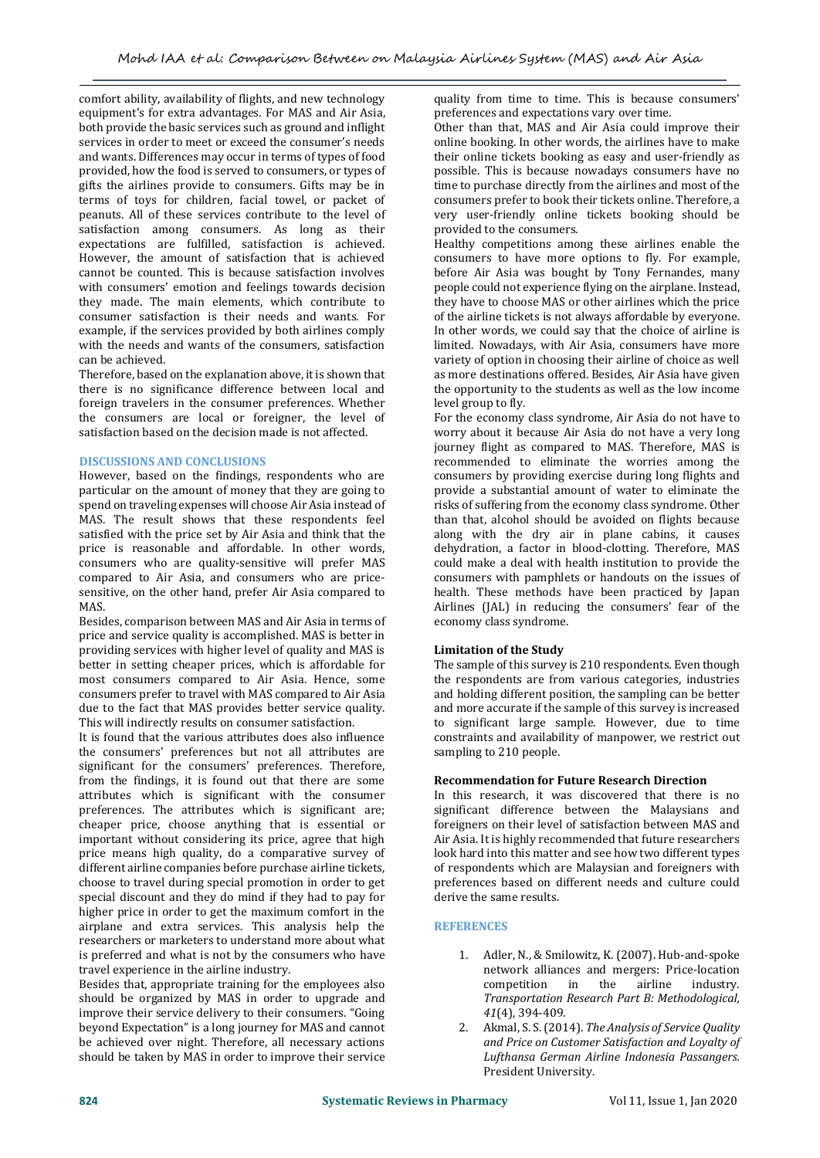comfort ability, availability of flights, and new technology equipment's for extra advantages. For MAS and Air Asia, both provide the basic services such as ground and inflight services in order to meet or exceed the consumer's needs and wants. Differences may occur in terms of types of food provided, how the food is served to consumers, or types of gifts the airlines provide to consumers. Gifts may be in terms of toys for children, facial towel, or packet of peanuts. All of these services contribute to the level of satisfaction among consumers. As long as their expectations are fulfilled, satisfaction is achieved. However, the amount of satisfaction that is achieved cannot be counted. This is because satisfaction involves with consumers' emotion and feelings towards decision they made. The main elements, which contribute to consumer satisfaction is their needs and wants. For example, if the services provided by both airlines comply with the needs and wants of the consumers, satisfaction can be achieved.

Therefore, based on the explanation above, it is shown that there is no significance difference between local and foreign travelers in the consumer preferences. Whether the consumers are local or foreigner, the level of satisfaction based on the decision made is not affected.

# **DISCUSSIONS AND CONCLUSIONS**

However, based on the findings, respondents who are particular on the amount of money that they are going to spend on traveling expenses will choose Air Asia instead of MAS. The result shows that these respondents feel satisfied with the price set by Air Asia and think that the price is reasonable and affordable. In other words, consumers who are quality-sensitive will prefer MAS compared to Air Asia, and consumers who are pricesensitive, on the other hand, prefer Air Asia compared to **MAS** 

Besides, comparison between MAS and Air Asia in terms of price and service quality is accomplished. MAS is better in providing services with higher level of quality and MAS is better in setting cheaper prices, which is affordable for most consumers compared to Air Asia. Hence, some consumers prefer to travel with MAS compared to Air Asia due to the fact that MAS provides better service quality. This will indirectly results on consumer satisfaction.

It is found that the various attributes does also influence the consumers' preferences but not all attributes are significant for the consumers' preferences. Therefore, from the findings, it is found out that there are some attributes which is significant with the consumer preferences. The attributes which is significant are; cheaper price, choose anything that is essential or important without considering its price, agree that high price means high quality, do a comparative survey of different airline companies before purchase airline tickets, choose to travel during special promotion in order to get special discount and they do mind if they had to pay for higher price in order to get the maximum comfort in the airplane and extra services. This analysis help the researchers or marketers to understand more about what is preferred and what is not by the consumers who have travel experience in the airline industry.

Besides that, appropriate training for the employees also should be organized by MAS in order to upgrade and improve their service delivery to their consumers. "Going beyond Expectation" is a long journey for MAS and cannot be achieved over night. Therefore, all necessary actions should be taken by MAS in order to improve their service

quality from time to time. This is because consumers' preferences and expectations vary over time.

Other than that, MAS and Air Asia could improve their online booking. In other words, the airlines have to make their online tickets booking as easy and user-friendly as possible. This is because nowadays consumers have no time to purchase directly from the airlines and most of the consumers prefer to book their tickets online. Therefore, a very user-friendly online tickets booking should be provided to the consumers.

Healthy competitions among these airlines enable the consumers to have more options to fly. For example, before Air Asia was bought by Tony Fernandes, many people could not experience flying on the airplane. Instead, they have to choose MAS or other airlines which the price of the airline tickets is not always affordable by everyone. In other words, we could say that the choice of airline is limited. Nowadays, with Air Asia, consumers have more variety of option in choosing their airline of choice as well as more destinations offered. Besides, Air Asia have given the opportunity to the students as well as the low income level group to fly.

For the economy class syndrome, Air Asia do not have to worry about it because Air Asia do not have a very long journey flight as compared to MAS. Therefore, MAS is recommended to eliminate the worries among the consumers by providing exercise during long flights and provide a substantial amount of water to eliminate the risks of suffering from the economy class syndrome. Other than that, alcohol should be avoided on flights because along with the dry air in plane cabins, it causes dehydration, a factor in blood-clotting. Therefore, MAS could make a deal with health institution to provide the consumers with pamphlets or handouts on the issues of health. These methods have been practiced by Japan Airlines (JAL) in reducing the consumers' fear of the economy class syndrome.

# **Limitation of the Study**

The sample of this survey is 210 respondents. Even though the respondents are from various categories, industries and holding different position, the sampling can be better and more accurate if the sample of this survey is increased to significant large sample. However, due to time constraints and availability of manpower, we restrict out sampling to 210 people.

# **Recommendation for Future Research Direction**

In this research, it was discovered that there is no significant difference between the Malaysians and foreigners on their level of satisfaction between MAS and Air Asia. It is highly recommended that future researchers look hard into this matter and see how two different types of respondents which are Malaysian and foreigners with preferences based on different needs and culture could derive the same results.

#### **REFERENCES**

- 1. Adler, N., & Smilowitz, K. (2007). Hub-and-spoke network alliances and mergers: Price-location competition in the airline industry. *Transportation Research Part B: Methodological, 41*(4), 394-409.
- 2. Akmal, S. S. (2014). *The Analysis of Service Quality and Price on Customer Satisfaction and Loyalty of Lufthansa German Airline Indonesia Passangers.* President University.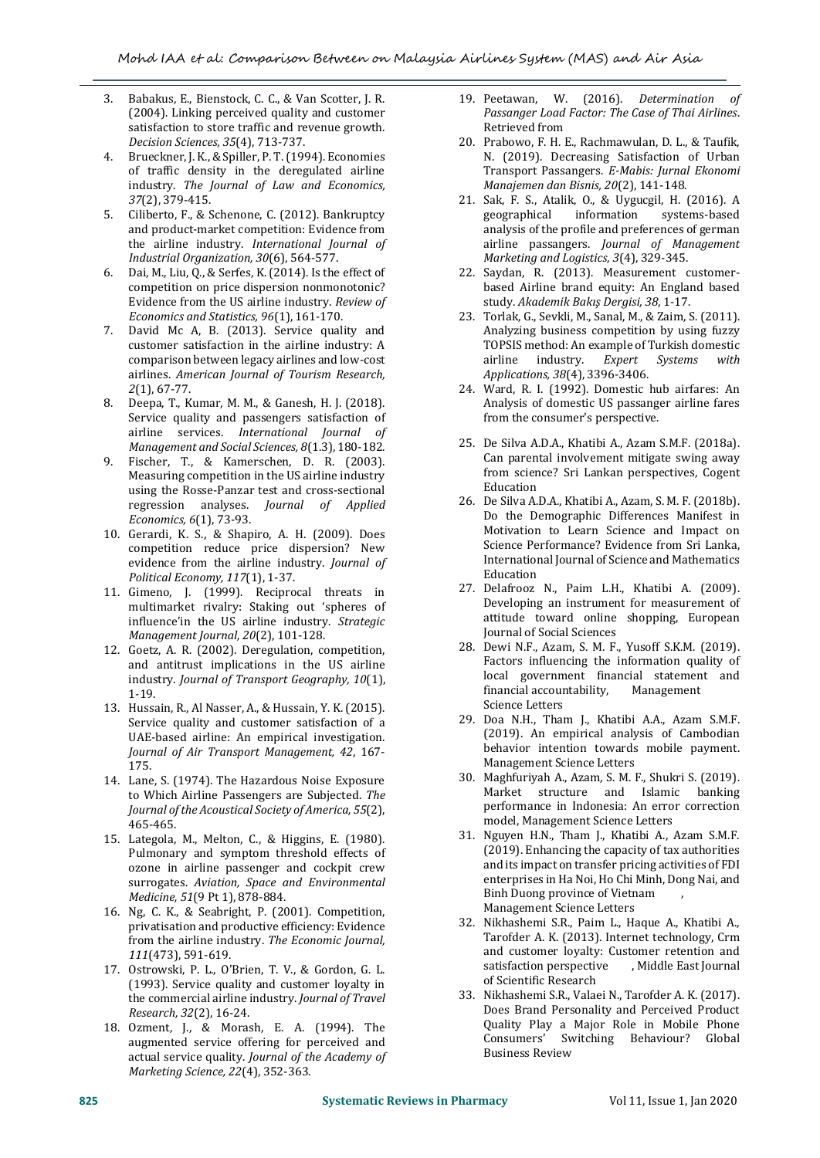- 3. Babakus, E., Bienstock, C. C., & Van Scotter, J. R. (2004). Linking perceived quality and customer satisfaction to store traffic and revenue growth. *Decision Sciences, 35*(4), 713-737.
- 4. Brueckner, J. K., & Spiller, P. T. (1994). Economies of traffic density in the deregulated airline industry. *The Journal of Law and Economics, 37*(2), 379-415.
- 5. Ciliberto, F., & Schenone, C. (2012). Bankruptcy and product-market competition: Evidence from the airline industry. *International Journal of Industrial Organization, 30*(6), 564-577.
- Dai, M., Liu, Q., & Serfes, K. (2014). Is the effect of competition on price dispersion nonmonotonic? Evidence from the US airline industry. *Review of Economics and Statistics, 96*(1), 161-170.
- 7. David Mc A, B. (2013). Service quality and customer satisfaction in the airline industry: A comparison between legacy airlines and low-cost airlines. *American Journal of Tourism Research, 2*(1), 67-77.
- 8. Deepa, T., Kumar, M. M., & Ganesh, H. J. (2018). Service quality and passengers satisfaction of airline services. *International Journal of Management and Social Sciences, 8*(1.3), 180-182.
- 9. Fischer, T., & Kamerschen, D. R. (2003). Measuring competition in the US airline industry using the Rosse-Panzar test and cross-sectional regression analyses. *Journal of Applied Economics, 6*(1), 73-93.
- 10. Gerardi, K. S., & Shapiro, A. H. (2009). Does competition reduce price dispersion? New evidence from the airline industry. *Journal of Political Economy, 117*(1), 1-37.
- 11. Gimeno, J. (1999). Reciprocal threats in multimarket rivalry: Staking out 'spheres of influence'in the US airline industry. *Strategic Management Journal, 20*(2), 101-128.
- 12. Goetz, A. R. (2002). Deregulation, competition, and antitrust implications in the US airline industry. *Journal of Transport Geography, 10*(1), 1-19.
- 13. Hussain, R., Al Nasser, A., & Hussain, Y. K. (2015). Service quality and customer satisfaction of a UAE-based airline: An empirical investigation. *Journal of Air Transport Management, 42*, 167- 175.
- 14. Lane, S. (1974). The Hazardous Noise Exposure to Which Airline Passengers are Subjected. *The Journal of the Acoustical Society of America, 55*(2), 465-465.
- 15. Lategola, M., Melton, C., & Higgins, E. (1980). Pulmonary and symptom threshold effects of ozone in airline passenger and cockpit crew surrogates. *Aviation, Space and Environmental Medicine, 51*(9 Pt 1), 878-884.
- 16. Ng, C. K., & Seabright, P. (2001). Competition, privatisation and productive efficiency: Evidence from the airline industry. *The Economic Journal, 111*(473), 591-619.
- 17. Ostrowski, P. L., O'Brien, T. V., & Gordon, G. L. (1993). Service quality and customer loyalty in the commercial airline industry. *Journal of Travel Research, 32*(2), 16-24.
- 18. Ozment, J., & Morash, E. A. (1994). The augmented service offering for perceived and actual service quality. *Journal of the Academy of Marketing Science, 22*(4), 352-363.
- 19. Peetawan, W. (2016). *Determination of Passanger Load Factor: The Case of Thai Airlines*. Retrieved from
- 20. Prabowo, F. H. E., Rachmawulan, D. L., & Taufik, N. (2019). Decreasing Satisfaction of Urban Transport Passangers. *E-Mabis: Jurnal Ekonomi Manajemen dan Bisnis, 20*(2), 141-148.
- 21. Sak, F. S., Atalik, O., & Uygucgil, H. (2016). A geographical information systems-based analysis of the profile and preferences of german airline passangers. *Journal of Management Marketing and Logistics, 3*(4), 329-345.
- 22. Saydan, R. (2013). Measurement customerbased Airline brand equity: An England based study. *Akademik Bakış Dergisi, 38*, 1-17.
- 23. Torlak, G., Sevkli, M., Sanal, M., & Zaim, S. (2011). Analyzing business competition by using fuzzy TOPSIS method: An example of Turkish domestic airline industry. *Expert Systems with Applications, 38*(4), 3396-3406.
- 24. Ward, R. I. (1992). Domestic hub airfares: An Analysis of domestic US passanger airline fares from the consumer's perspective.
- 25. De Silva A.D.A., Khatibi A., Azam S.M.F. (2018a). Can parental involvement mitigate swing away from science? Sri Lankan perspectives, Cogent Education
- 26. De Silva A.D.A., Khatibi A., Azam, S. M. F. (2018b). Do the Demographic Differences Manifest in Motivation to Learn Science and Impact on Science Performance? Evidence from Sri Lanka, International Journal of Science and Mathematics Education
- 27. Delafrooz N., Paim L.H., Khatibi A. (2009). Developing an instrument for measurement of attitude toward online shopping, European Journal of Social Sciences
- 28. Dewi N.F., Azam, S. M. F., Yusoff S.K.M. (2019). Factors influencing the information quality of local government financial statement and financial accountability, Management Science Letters
- 29. Doa N.H., Tham J., Khatibi A.A., Azam S.M.F. (2019). An empirical analysis of Cambodian behavior intention towards mobile payment. Management Science Letters
- 30. Maghfuriyah A., Azam, S. M. F., Shukri S. (2019). Market structure and Islamic banking performance in Indonesia: An error correction model, Management Science Letters
- 31. Nguyen H.N., Tham J., Khatibi A., Azam S.M.F. (2019). Enhancing the capacity of tax authorities and its impact on transfer pricing activities of FDI enterprises in Ha Noi, Ho Chi Minh, Dong Nai, and Binh Duong province of Vietnam , Management Science Letters
- 32. Nikhashemi S.R., Paim L., Haque A., Khatibi A., Tarofder A. K. (2013). Internet technology, Crm and customer loyalty: Customer retention and satisfaction perspective , Middle East Journal satisfaction perspective of Scientific Research
- 33. Nikhashemi S.R., Valaei N., Tarofder A. K. (2017). Does Brand Personality and Perceived Product Quality Play a Major Role in Mobile Phone Consumers' Switching Behaviour? Global Business Review